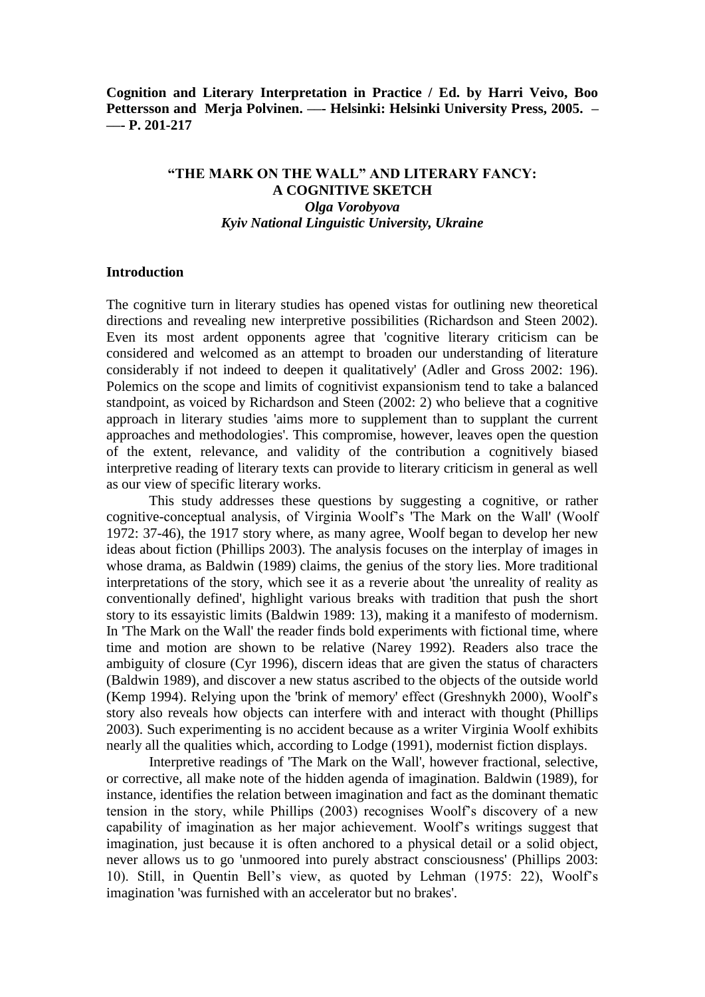**Cognition and Literary Interpretation in Practice / Ed. by Harri Veivo, Boo Pettersson and Merja Polvinen. ––- Helsinki: Helsinki University Press, 2005. – ––- P. 201-217**

# **"THE MARK ON THE WALL" AND LITERARY FANCY: A COGNITIVE SKETCH** *Olga Vorobyova Kyiv National Linguistic University, Ukraine*

# **Introduction**

The cognitive turn in literary studies has opened vistas for outlining new theoretical directions and revealing new interpretive possibilities (Richardson and Steen 2002). Even its most ardent opponents agree that 'cognitive literary criticism can be considered and welcomed as an attempt to broaden our understanding of literature considerably if not indeed to deepen it qualitatively' (Adler and Gross 2002: 196). Polemics on the scope and limits of cognitivist expansionism tend to take a balanced standpoint, as voiced by Richardson and Steen (2002: 2) who believe that a cognitive approach in literary studies 'aims more to supplement than to supplant the current approaches and methodologies'. This compromise, however, leaves open the question of the extent, relevance, and validity of the contribution a cognitively biased interpretive reading of literary texts can provide to literary criticism in general as well as our view of specific literary works.

This study addresses these questions by suggesting a cognitive, or rather cognitive-conceptual analysis, of Virginia Woolf's 'The Mark on the Wall' (Woolf 1972: 37-46), the 1917 story where, as many agree, Woolf began to develop her new ideas about fiction (Phillips 2003). The analysis focuses on the interplay of images in whose drama, as Baldwin (1989) claims, the genius of the story lies. More traditional interpretations of the story, which see it as a reverie about 'the unreality of reality as conventionally defined', highlight various breaks with tradition that push the short story to its essayistic limits (Baldwin 1989: 13), making it a manifesto of modernism. In 'The Mark on the Wall' the reader finds bold experiments with fictional time, where time and motion are shown to be relative (Narey 1992). Readers also trace the ambiguity of closure (Cyr 1996), discern ideas that are given the status of characters (Baldwin 1989), and discover a new status ascribed to the objects of the outside world (Kemp 1994). Relying upon the 'brink of memory' effect (Greshnykh 2000), Woolf's story also reveals how objects can interfere with and interact with thought (Phillips 2003). Such experimenting is no accident because as a writer Virginia Woolf exhibits nearly all the qualities which, according to Lodge (1991), modernist fiction displays.

Interpretive readings of 'The Mark on the Wall', however fractional, selective, or corrective, all make note of the hidden agenda of imagination. Baldwin (1989), for instance, identifies the relation between imagination and fact as the dominant thematic tension in the story, while Phillips (2003) recognises Woolf's discovery of a new capability of imagination as her major achievement. Woolf's writings suggest that imagination, just because it is often anchored to a physical detail or a solid object, never allows us to go 'unmoored into purely abstract consciousness' (Phillips 2003: 10). Still, in Quentin Bell's view, as quoted by Lehman (1975: 22), Woolf's imagination 'was furnished with an accelerator but no brakes'.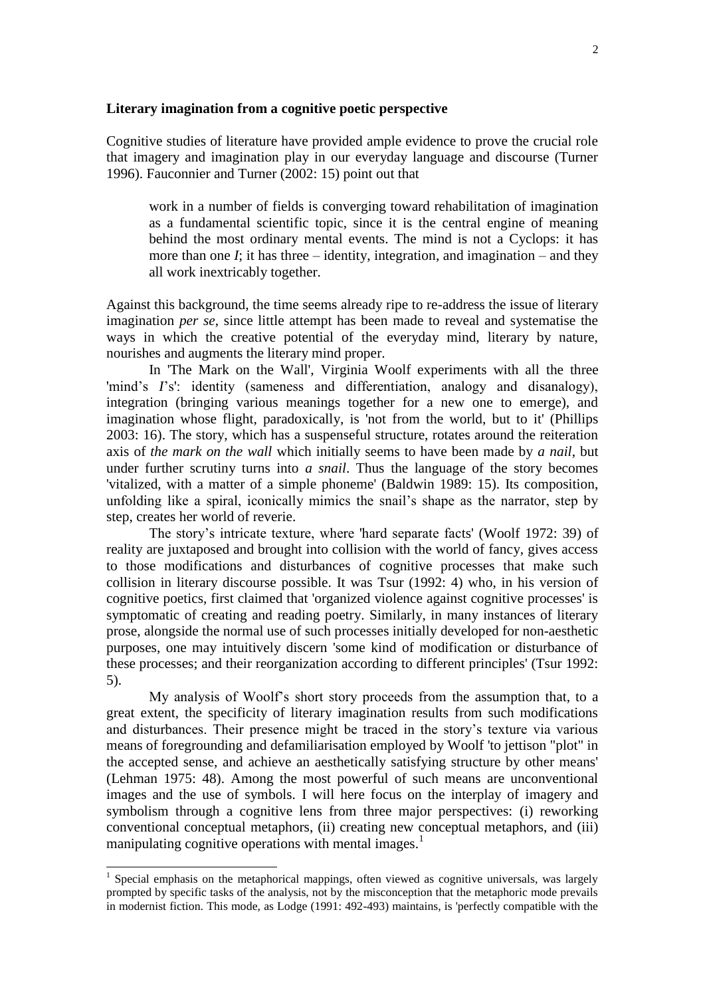## **Literary imagination from a cognitive poetic perspective**

Cognitive studies of literature have provided ample evidence to prove the crucial role that imagery and imagination play in our everyday language and discourse (Turner 1996). Fauconnier and Turner (2002: 15) point out that

work in a number of fields is converging toward rehabilitation of imagination as a fundamental scientific topic, since it is the central engine of meaning behind the most ordinary mental events. The mind is not a Cyclops: it has more than one  $I$ ; it has three – identity, integration, and imagination – and they all work inextricably together.

Against this background, the time seems already ripe to re-address the issue of literary imagination *per se*, since little attempt has been made to reveal and systematise the ways in which the creative potential of the everyday mind, literary by nature, nourishes and augments the literary mind proper.

In 'The Mark on the Wall', Virginia Woolf experiments with all the three 'mind's *I*'s': identity (sameness and differentiation, analogy and disanalogy), integration (bringing various meanings together for a new one to emerge), and imagination whose flight, paradoxically, is 'not from the world, but to it' (Phillips 2003: 16). The story, which has a suspenseful structure, rotates around the reiteration axis of *the mark on the wall* which initially seems to have been made by *a nail*, but under further scrutiny turns into *a snail*. Thus the language of the story becomes 'vitalized, with a matter of a simple phoneme' (Baldwin 1989: 15). Its composition, unfolding like a spiral, iconically mimics the snail's shape as the narrator, step by step, creates her world of reverie.

The story's intricate texture, where 'hard separate facts' (Woolf 1972: 39) of reality are juxtaposed and brought into collision with the world of fancy, gives access to those modifications and disturbances of cognitive processes that make such collision in literary discourse possible. It was Tsur (1992: 4) who, in his version of cognitive poetics, first claimed that 'organized violence against cognitive processes' is symptomatic of creating and reading poetry. Similarly, in many instances of literary prose, alongside the normal use of such processes initially developed for non-aesthetic purposes, one may intuitively discern 'some kind of modification or disturbance of these processes; and their reorganization according to different principles' (Tsur 1992: 5).

My analysis of Woolf's short story proceeds from the assumption that, to a great extent, the specificity of literary imagination results from such modifications and disturbances. Their presence might be traced in the story's texture via various means of foregrounding and defamiliarisation employed by Woolf 'to jettison "plot" in the accepted sense, and achieve an aesthetically satisfying structure by other means' (Lehman 1975: 48). Among the most powerful of such means are unconventional images and the use of symbols. I will here focus on the interplay of imagery and symbolism through a cognitive lens from three major perspectives: (i) reworking conventional conceptual metaphors, (ii) creating new conceptual metaphors, and (iii) manipulating cognitive operations with mental images.<sup>1</sup>

<sup>&</sup>lt;sup>1</sup> Special emphasis on the metaphorical mappings, often viewed as cognitive universals, was largely prompted by specific tasks of the analysis, not by the misconception that the metaphoric mode prevails in modernist fiction. This mode, as Lodge (1991: 492-493) maintains, is 'perfectly compatible with the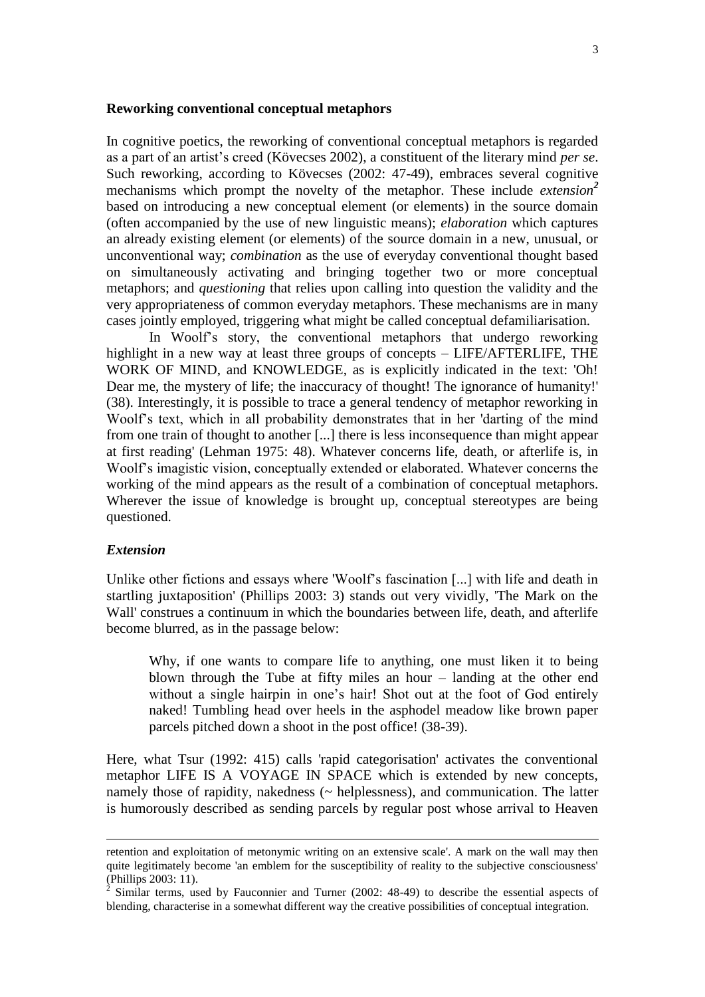#### **Reworking conventional conceptual metaphors**

In cognitive poetics, the reworking of conventional conceptual metaphors is regarded as a part of an artist's creed (Kövecses 2002), a constituent of the literary mind *per se*. Such reworking, according to Kövecses (2002: 47-49), embraces several cognitive mechanisms which prompt the novelty of the metaphor. These include *extension<sup>2</sup>* based on introducing a new conceptual element (or elements) in the source domain (often accompanied by the use of new linguistic means); *elaboration* which captures an already existing element (or elements) of the source domain in a new, unusual, or unconventional way; *combination* as the use of everyday conventional thought based on simultaneously activating and bringing together two or more conceptual metaphors; and *questioning* that relies upon calling into question the validity and the very appropriateness of common everyday metaphors. These mechanisms are in many cases jointly employed, triggering what might be called conceptual defamiliarisation*.* 

In Woolf's story, the conventional metaphors that undergo reworking highlight in a new way at least three groups of concepts – LIFE/AFTERLIFE, THE WORK OF MIND, and KNOWLEDGE, as is explicitly indicated in the text: 'Oh! Dear me, the mystery of life; the inaccuracy of thought! The ignorance of humanity!' (38). Interestingly, it is possible to trace a general tendency of metaphor reworking in Woolf's text, which in all probability demonstrates that in her 'darting of the mind from one train of thought to another [...] there is less inconsequence than might appear at first reading' (Lehman 1975: 48). Whatever concerns life, death, or afterlife is, in Woolf's imagistic vision, conceptually extended or elaborated. Whatever concerns the working of the mind appears as the result of a combination of conceptual metaphors. Wherever the issue of knowledge is brought up, conceptual stereotypes are being questioned.

# *Extension*

l

Unlike other fictions and essays where 'Woolf's fascination [...] with life and death in startling juxtaposition' (Phillips 2003: 3) stands out very vividly, 'The Mark on the Wall' construes a continuum in which the boundaries between life, death, and afterlife become blurred, as in the passage below:

Why, if one wants to compare life to anything, one must liken it to being blown through the Tube at fifty miles an hour – landing at the other end without a single hairpin in one's hair! Shot out at the foot of God entirely naked! Tumbling head over heels in the asphodel meadow like brown paper parcels pitched down a shoot in the post office! (38-39).

Here, what Tsur (1992: 415) calls 'rapid categorisation' activates the conventional metaphor LIFE IS A VOYAGE IN SPACE which is extended by new concepts, namely those of rapidity, nakedness (~ helplessness), and communication. The latter is humorously described as sending parcels by regular post whose arrival to Heaven

retention and exploitation of metonymic writing on an extensive scale'. A mark on the wall may then quite legitimately become 'an emblem for the susceptibility of reality to the subjective consciousness' (Phillips 2003: 11).

<sup>&</sup>lt;sup>2</sup> Similar terms, used by Fauconnier and Turner (2002: 48-49) to describe the essential aspects of blending, characterise in a somewhat different way the creative possibilities of conceptual integration.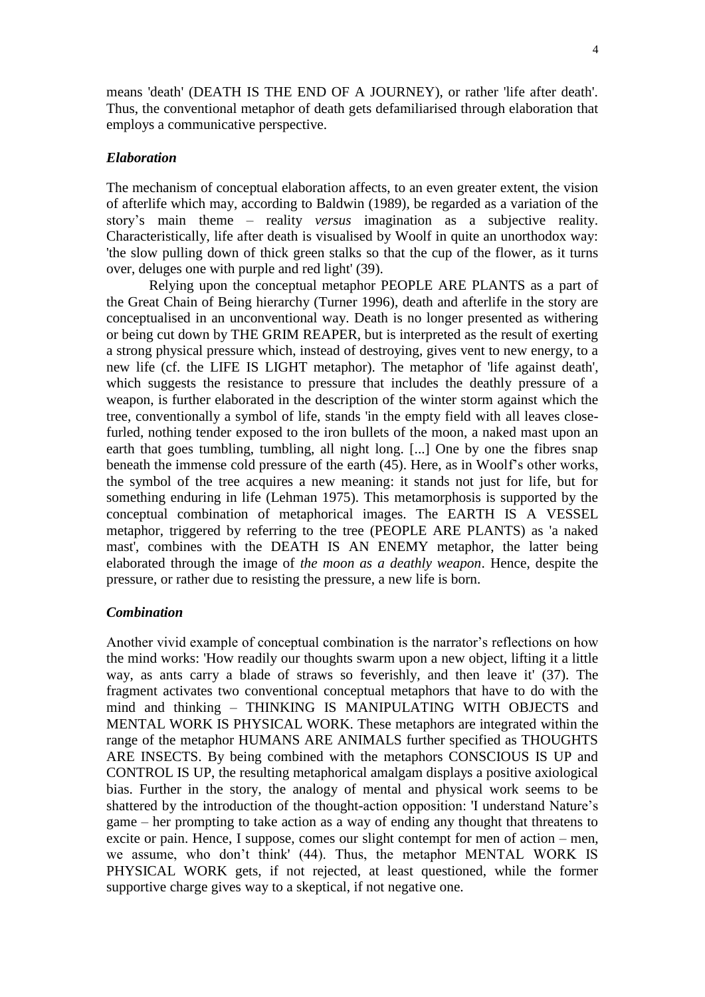means 'death' (DEATH IS THE END OF A JOURNEY), or rather 'life after death'. Thus, the conventional metaphor of death gets defamiliarised through elaboration that employs a communicative perspective.

# *Elaboration*

The mechanism of conceptual elaboration affects, to an even greater extent, the vision of afterlife which may, according to Baldwin (1989), be regarded as a variation of the story's main theme – reality *versus* imagination as a subjective reality. Characteristically, life after death is visualised by Woolf in quite an unorthodox way: 'the slow pulling down of thick green stalks so that the cup of the flower, as it turns over, deluges one with purple and red light' (39).

Relying upon the conceptual metaphor PEOPLE ARE PLANTS as a part of the Great Chain of Being hierarchy (Turner 1996), death and afterlife in the story are conceptualised in an unconventional way. Death is no longer presented as withering or being cut down by THE GRIM REAPER, but is interpreted as the result of exerting a strong physical pressure which, instead of destroying, gives vent to new energy, to a new life (cf. the LIFE IS LIGHT metaphor). The metaphor of 'life against death', which suggests the resistance to pressure that includes the deathly pressure of a weapon, is further elaborated in the description of the winter storm against which the tree, conventionally a symbol of life, stands 'in the empty field with all leaves closefurled, nothing tender exposed to the iron bullets of the moon, a naked mast upon an earth that goes tumbling, tumbling, all night long. [...] One by one the fibres snap beneath the immense cold pressure of the earth (45). Here, as in Woolf's other works, the symbol of the tree acquires a new meaning: it stands not just for life, but for something enduring in life (Lehman 1975). This metamorphosis is supported by the conceptual combination of metaphorical images. The EARTH IS A VESSEL metaphor, triggered by referring to the tree (PEOPLE ARE PLANTS) as 'a naked mast', combines with the DEATH IS AN ENEMY metaphor, the latter being elaborated through the image of *the moon as a deathly weapon*. Hence, despite the pressure, or rather due to resisting the pressure, a new life is born.

# *Combination*

Another vivid example of conceptual combination is the narrator's reflections on how the mind works: 'How readily our thoughts swarm upon a new object, lifting it a little way, as ants carry a blade of straws so feverishly, and then leave it' (37). The fragment activates two conventional conceptual metaphors that have to do with the mind and thinking – THINKING IS MANIPULATING WITH OBJECTS and MENTAL WORK IS PHYSICAL WORK. These metaphors are integrated within the range of the metaphor HUMANS ARE ANIMALS further specified as THOUGHTS ARE INSECTS. By being combined with the metaphors CONSCIOUS IS UP and CONTROL IS UP, the resulting metaphorical amalgam displays a positive axiological bias. Further in the story, the analogy of mental and physical work seems to be shattered by the introduction of the thought-action opposition: 'I understand Nature's game – her prompting to take action as a way of ending any thought that threatens to excite or pain. Hence, I suppose, comes our slight contempt for men of action – men, we assume, who don't think' (44). Thus, the metaphor MENTAL WORK IS PHYSICAL WORK gets, if not rejected, at least questioned, while the former supportive charge gives way to a skeptical, if not negative one.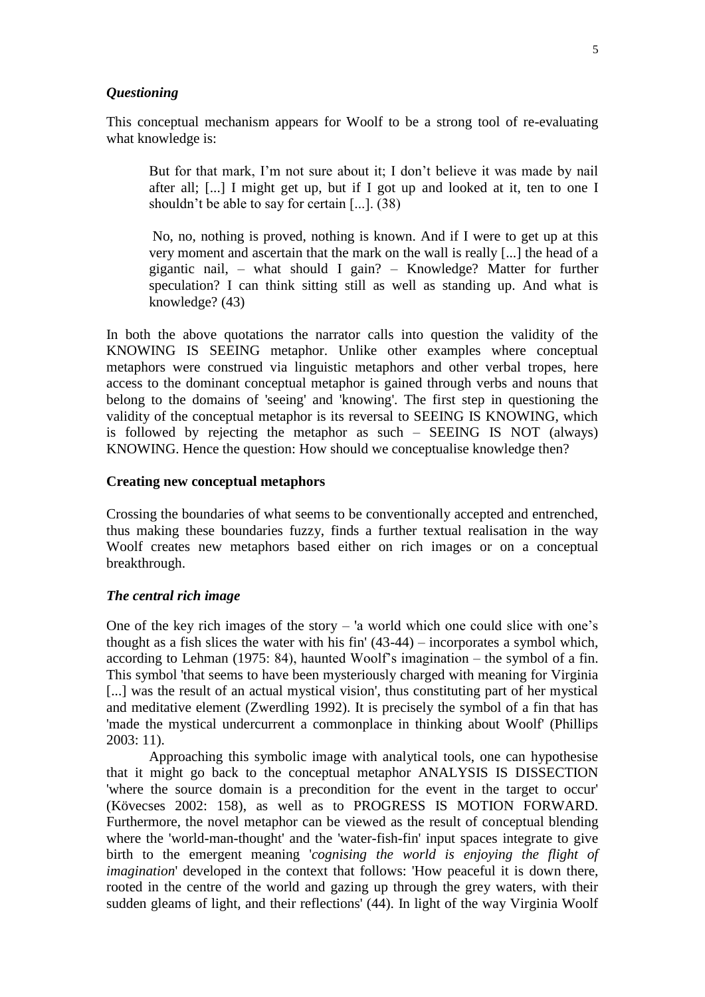#### *Questioning*

This conceptual mechanism appears for Woolf to be a strong tool of re-evaluating what knowledge is:

But for that mark, I'm not sure about it; I don't believe it was made by nail after all; [...] I might get up, but if I got up and looked at it, ten to one I shouldn't be able to say for certain [...]. (38)

No, no, nothing is proved, nothing is known. And if I were to get up at this very moment and ascertain that the mark on the wall is really [...] the head of a gigantic nail, – what should I gain? – Knowledge? Matter for further speculation? I can think sitting still as well as standing up. And what is knowledge? (43)

In both the above quotations the narrator calls into question the validity of the KNOWING IS SEEING metaphor. Unlike other examples where conceptual metaphors were construed via linguistic metaphors and other verbal tropes, here access to the dominant conceptual metaphor is gained through verbs and nouns that belong to the domains of 'seeing' and 'knowing'. The first step in questioning the validity of the conceptual metaphor is its reversal to SEEING IS KNOWING, which is followed by rejecting the metaphor as such – SEEING IS NOT (always) KNOWING. Hence the question: How should we conceptualise knowledge then?

#### **Creating new conceptual metaphors**

Crossing the boundaries of what seems to be conventionally accepted and entrenched, thus making these boundaries fuzzy, finds a further textual realisation in the way Woolf creates new metaphors based either on rich images or on a conceptual breakthrough.

### *The central rich image*

One of the key rich images of the story – 'a world which one could slice with one's thought as a fish slices the water with his fin' (43-44) – incorporates a symbol which, according to Lehman (1975: 84), haunted Woolf's imagination – the symbol of a fin. This symbol 'that seems to have been mysteriously charged with meaning for Virginia [...] was the result of an actual mystical vision', thus constituting part of her mystical and meditative element (Zwerdling 1992). It is precisely the symbol of a fin that has 'made the mystical undercurrent a commonplace in thinking about Woolf' (Phillips 2003: 11).

Approaching this symbolic image with analytical tools, one can hypothesise that it might go back to the conceptual metaphor ANALYSIS IS DISSECTION 'where the source domain is a precondition for the event in the target to occur' (Kövecses 2002: 158), as well as to PROGRESS IS MOTION FORWARD. Furthermore, the novel metaphor can be viewed as the result of conceptual blending where the 'world-man-thought' and the 'water-fish-fin' input spaces integrate to give birth to the emergent meaning '*cognising the world is enjoying the flight of imagination*' developed in the context that follows: 'How peaceful it is down there, rooted in the centre of the world and gazing up through the grey waters, with their sudden gleams of light, and their reflections' (44). In light of the way Virginia Woolf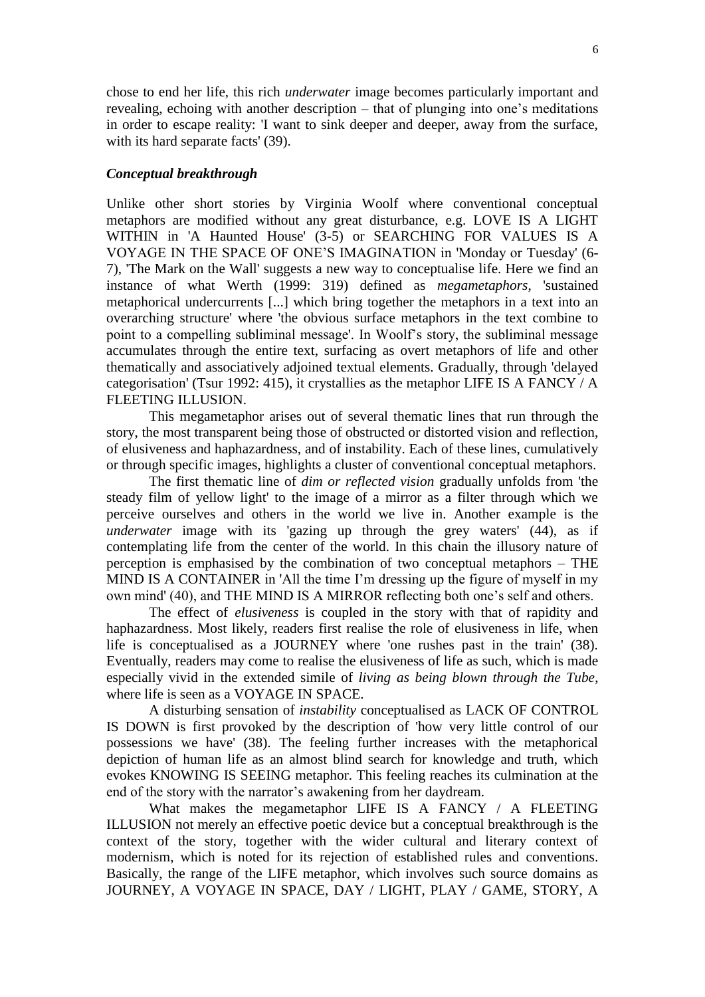chose to end her life, this rich *underwater* image becomes particularly important and revealing, echoing with another description – that of plunging into one's meditations in order to escape reality: 'I want to sink deeper and deeper, away from the surface, with its hard separate facts' (39).

### *Conceptual breakthrough*

Unlike other short stories by Virginia Woolf where conventional conceptual metaphors are modified without any great disturbance, e.g. LOVE IS A LIGHT WITHIN in 'A Haunted House' (3-5) or SEARCHING FOR VALUES IS A VOYAGE IN THE SPACE OF ONE'S IMAGINATION in 'Monday or Tuesday' (6- 7), 'The Mark on the Wall' suggests a new way to conceptualise life. Here we find an instance of what Werth (1999: 319) defined as *megametaphors*, 'sustained metaphorical undercurrents [...] which bring together the metaphors in a text into an overarching structure' where 'the obvious surface metaphors in the text combine to point to a compelling subliminal message'. In Woolf's story, the subliminal message accumulates through the entire text, surfacing as overt metaphors of life and other thematically and associatively adjoined textual elements. Gradually, through 'delayed categorisation' (Tsur 1992: 415), it crystallies as the metaphor LIFE IS A FANCY / A FLEETING ILLUSION.

This megametaphor arises out of several thematic lines that run through the story, the most transparent being those of obstructed or distorted vision and reflection, of elusiveness and haphazardness, and of instability. Each of these lines, cumulatively or through specific images, highlights a cluster of conventional conceptual metaphors.

The first thematic line of *dim or reflected vision* gradually unfolds from 'the steady film of yellow light' to the image of a mirror as a filter through which we perceive ourselves and others in the world we live in. Another example is the *underwater* image with its 'gazing up through the grey waters' (44), as if contemplating life from the center of the world. In this chain the illusory nature of perception is emphasised by the combination of two conceptual metaphors – THE MIND IS A CONTAINER in 'All the time I'm dressing up the figure of myself in my own mind' (40), and THE MIND IS A MIRROR reflecting both one's self and others.

The effect of *elusiveness* is coupled in the story with that of rapidity and haphazardness. Most likely, readers first realise the role of elusiveness in life, when life is conceptualised as a JOURNEY where 'one rushes past in the train' (38). Eventually, readers may come to realise the elusiveness of life as such, which is made especially vivid in the extended simile of *living as being blown through the Tube*, where life is seen as a VOYAGE IN SPACE.

A disturbing sensation of *instability* conceptualised as LACK OF CONTROL IS DOWN is first provoked by the description of 'how very little control of our possessions we have' (38). The feeling further increases with the metaphorical depiction of human life as an almost blind search for knowledge and truth, which evokes KNOWING IS SEEING metaphor. This feeling reaches its culmination at the end of the story with the narrator's awakening from her daydream.

What makes the megametaphor LIFE IS A FANCY / A FLEETING ILLUSION not merely an effective poetic device but a conceptual breakthrough is the context of the story, together with the wider cultural and literary context of modernism, which is noted for its rejection of established rules and conventions. Basically, the range of the LIFE metaphor, which involves such source domains as JOURNEY, A VOYAGE IN SPACE, DAY / LIGHT, PLAY / GAME, STORY, A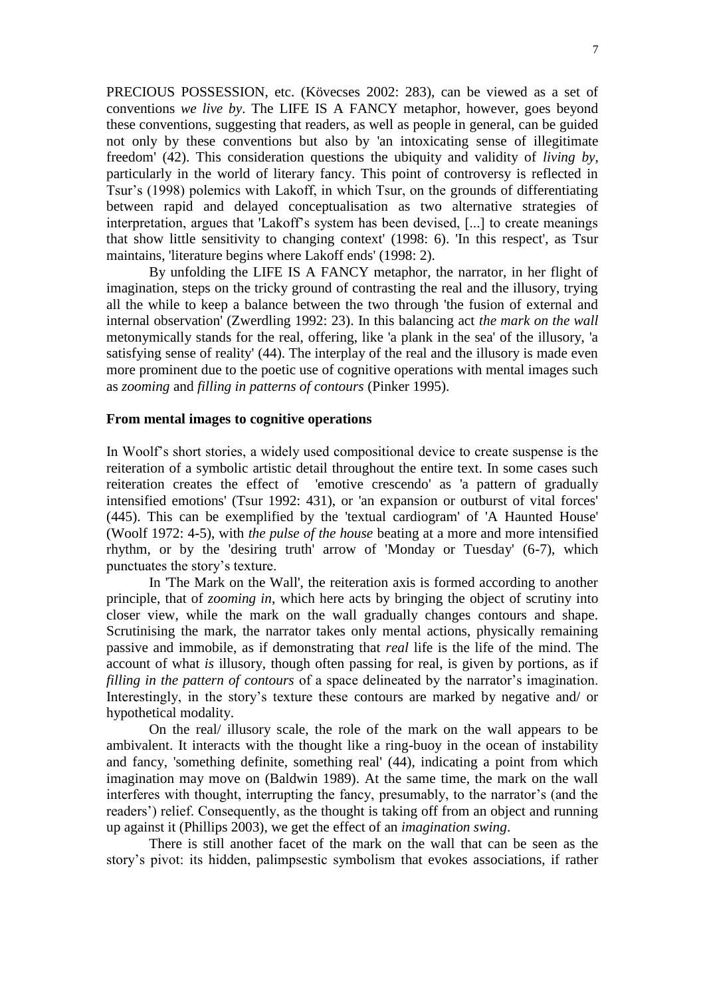PRECIOUS POSSESSION, etc. (Kövecses 2002: 283), can be viewed as a set of conventions *we live by*. The LIFE IS A FANCY metaphor, however, goes beyond these conventions, suggesting that readers, as well as people in general, can be guided not only by these conventions but also by 'an intoxicating sense of illegitimate freedom' (42). This consideration questions the ubiquity and validity of *living by*, particularly in the world of literary fancy. This point of controversy is reflected in Tsur's (1998) polemics with Lakoff, in which Tsur, on the grounds of differentiating between rapid and delayed conceptualisation as two alternative strategies of interpretation, argues that 'Lakoff's system has been devised, [...] to create meanings that show little sensitivity to changing context' (1998: 6). 'In this respect', as Tsur maintains, 'literature begins where Lakoff ends' (1998: 2).

By unfolding the LIFE IS A FANCY metaphor, the narrator, in her flight of imagination, steps on the tricky ground of contrasting the real and the illusory, trying all the while to keep a balance between the two through 'the fusion of external and internal observation' (Zwerdling 1992: 23). In this balancing act *the mark on the wall* metonymically stands for the real, offering, like 'a plank in the sea' of the illusory, 'a satisfying sense of reality' (44). The interplay of the real and the illusory is made even more prominent due to the poetic use of cognitive operations with mental images such as *zooming* and *filling in patterns of contours* (Pinker 1995).

#### **From mental images to cognitive operations**

In Woolf's short stories, a widely used compositional device to create suspense is the reiteration of a symbolic artistic detail throughout the entire text. In some cases such reiteration creates the effect of 'emotive crescendo' as 'a pattern of gradually intensified emotions' (Tsur 1992: 431), or 'an expansion or outburst of vital forces' (445). This can be exemplified by the 'textual cardiogram' of 'A Haunted House' (Woolf 1972: 4-5), with *the pulse of the house* beating at a more and more intensified rhythm, or by the 'desiring truth' arrow of 'Monday or Tuesday' (6-7), which punctuates the story's texture.

In 'The Mark on the Wall', the reiteration axis is formed according to another principle, that of *zooming in*, which here acts by bringing the object of scrutiny into closer view, while the mark on the wall gradually changes contours and shape. Scrutinising the mark, the narrator takes only mental actions, physically remaining passive and immobile, as if demonstrating that *real* life is the life of the mind. The account of what *is* illusory, though often passing for real, is given by portions, as if *filling in the pattern of contours* of a space delineated by the narrator's imagination. Interestingly, in the story's texture these contours are marked by negative and/ or hypothetical modality.

On the real/ illusory scale, the role of the mark on the wall appears to be ambivalent. It interacts with the thought like a ring-buoy in the ocean of instability and fancy, 'something definite, something real' (44), indicating a point from which imagination may move on (Baldwin 1989). At the same time, the mark on the wall interferes with thought, interrupting the fancy, presumably, to the narrator's (and the readers') relief. Consequently, as the thought is taking off from an object and running up against it (Phillips 2003), we get the effect of an *imagination swing*.

There is still another facet of the mark on the wall that can be seen as the story's pivot: its hidden, palimpsestic symbolism that evokes associations, if rather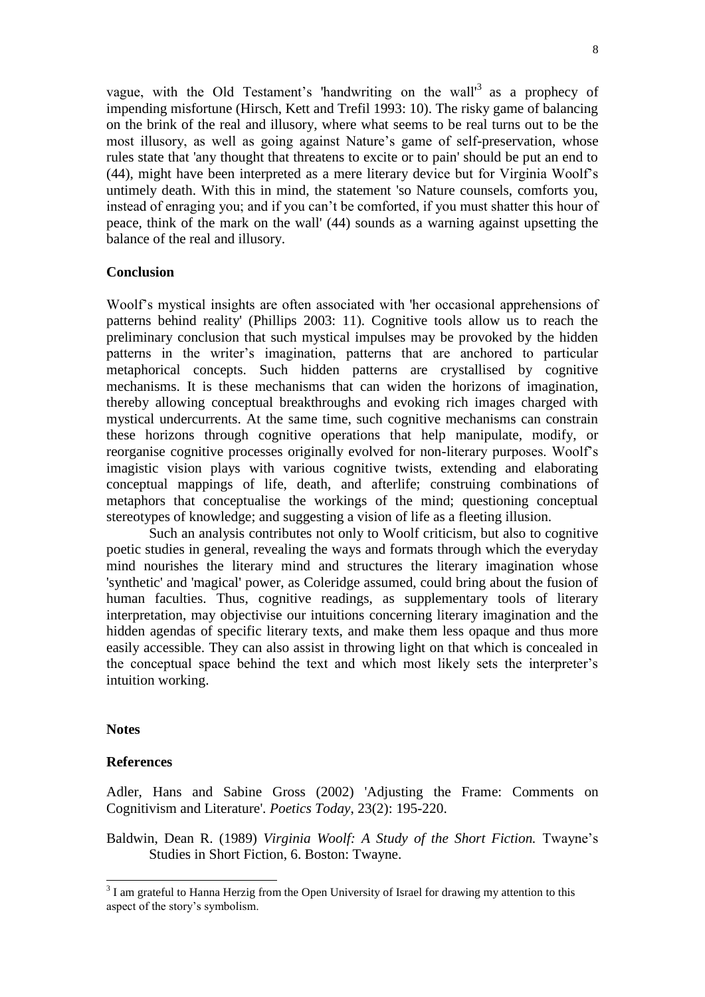vague, with the Old Testament's 'handwriting on the wall'<sup>3</sup> as a prophecy of impending misfortune (Hirsch, Kett and Trefil 1993: 10). The risky game of balancing on the brink of the real and illusory, where what seems to be real turns out to be the most illusory, as well as going against Nature's game of self-preservation, whose rules state that 'any thought that threatens to excite or to pain' should be put an end to (44), might have been interpreted as a mere literary device but for Virginia Woolf's untimely death. With this in mind, the statement 'so Nature counsels, comforts you, instead of enraging you; and if you can't be comforted, if you must shatter this hour of peace, think of the mark on the wall' (44) sounds as a warning against upsetting the balance of the real and illusory.

# **Conclusion**

Woolf's mystical insights are often associated with 'her occasional apprehensions of patterns behind reality' (Phillips 2003: 11). Cognitive tools allow us to reach the preliminary conclusion that such mystical impulses may be provoked by the hidden patterns in the writer's imagination, patterns that are anchored to particular metaphorical concepts. Such hidden patterns are crystallised by cognitive mechanisms. It is these mechanisms that can widen the horizons of imagination, thereby allowing conceptual breakthroughs and evoking rich images charged with mystical undercurrents. At the same time, such cognitive mechanisms can constrain these horizons through cognitive operations that help manipulate, modify, or reorganise cognitive processes originally evolved for non-literary purposes. Woolf's imagistic vision plays with various cognitive twists, extending and elaborating conceptual mappings of life, death, and afterlife; construing combinations of metaphors that conceptualise the workings of the mind; questioning conceptual stereotypes of knowledge; and suggesting a vision of life as a fleeting illusion.

Such an analysis contributes not only to Woolf criticism, but also to cognitive poetic studies in general, revealing the ways and formats through which the everyday mind nourishes the literary mind and structures the literary imagination whose 'synthetic' and 'magical' power, as Coleridge assumed, could bring about the fusion of human faculties. Thus, cognitive readings, as supplementary tools of literary interpretation, may objectivise our intuitions concerning literary imagination and the hidden agendas of specific literary texts, and make them less opaque and thus more easily accessible. They can also assist in throwing light on that which is concealed in the conceptual space behind the text and which most likely sets the interpreter's intuition working.

# **Notes**

l

# **References**

Adler, Hans and Sabine Gross (2002) 'Adjusting the Frame: Comments on Cognitivism and Literature'. *Poetics Today*, 23(2): 195-220.

Baldwin, Dean R. (1989) *Virginia Woolf: A Study of the Short Fiction*. Twayne's Studies in Short Fiction, 6. Boston: Twayne.

 $3$  I am grateful to Hanna Herzig from the Open University of Israel for drawing my attention to this aspect of the story's symbolism.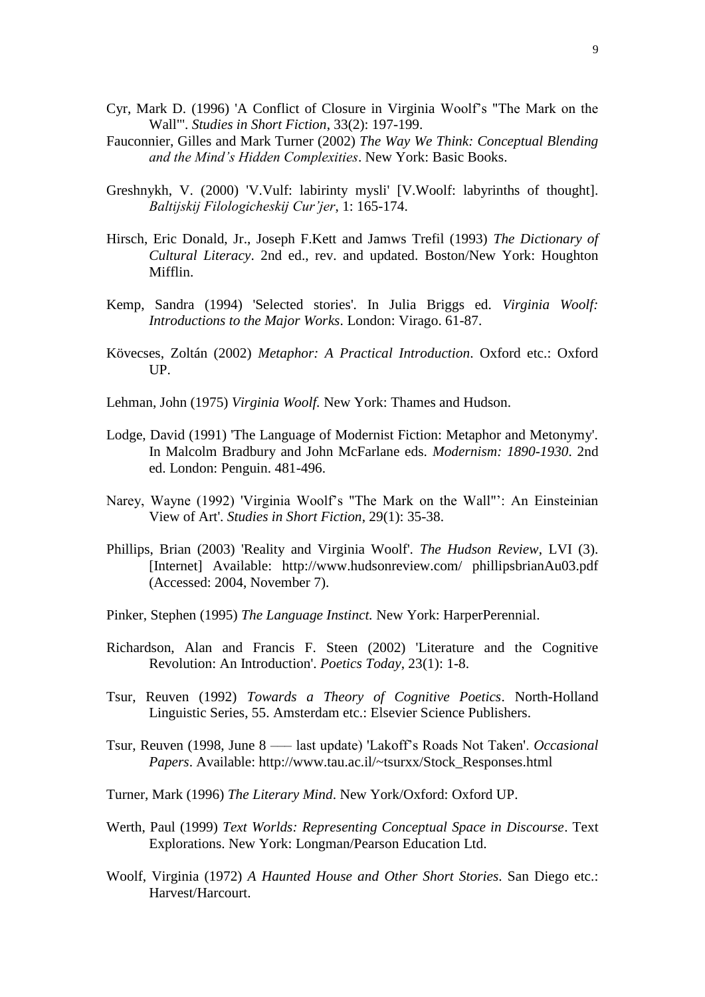- Cyr, Mark D. (1996) 'A Conflict of Closure in Virginia Woolf's "The Mark on the Wall"'. *Studies in Short Fiction*, 33(2): 197-199.
- Fauconnier, Gilles and Mark Turner (2002) *The Way We Think: Conceptual Blending and the Mind's Hidden Complexities*. New York: Basic Books.
- Greshnykh, V. (2000) 'V.Vulf: labirinty mysli' [V.Woolf: labyrinths of thought]. *Baltijskij Filologicheskij Cur'jer*, 1: 165-174.
- Hirsch, Eric Donald, Jr., Joseph F.Kett and Jamws Trefil (1993) *The Dictionary of Cultural Literacy*. 2nd ed., rev. and updated. Boston/New York: Houghton Mifflin.
- Kemp, Sandra (1994) 'Selected stories'. In Julia Briggs ed. *Virginia Woolf: Introductions to the Major Works*. London: Virago. 61-87.
- Kövecses, Zoltán (2002) *Metaphor: A Practical Introduction*. Oxford etc.: Oxford UP.
- Lehman, John (1975) *Virginia Woolf.* New York: Thames and Hudson.
- Lodge, David (1991) 'The Language of Modernist Fiction: Metaphor and Metonymy'. In Malcolm Bradbury and John McFarlane eds. *Modernism: 1890-1930*. 2nd ed. London: Penguin. 481-496.
- Narey, Wayne (1992) 'Virginia Woolf's "The Mark on the Wall"': An Einsteinian View of Art'. *Studies in Short Fiction*, 29(1): 35-38.
- Phillips, Brian (2003) 'Reality and Virginia Woolf'. *The Hudson Review*, LVI (3). [Internet] Available: http://www.hudsonreview.com/ phillipsbrianAu03.pdf (Accessed: 2004, November 7).
- Pinker, Stephen (1995) *The Language Instinct.* New York: HarperPerennial.
- Richardson, Alan and Francis F. Steen (2002) 'Literature and the Cognitive Revolution: An Introduction'. *Poetics Today*, 23(1): 1-8.
- Tsur, Reuven (1992) *Towards a Theory of Cognitive Poetics*. North-Holland Linguistic Series, 55. Amsterdam etc.: Elsevier Science Publishers.
- Tsur, Reuven (1998, June 8 ––– last update) 'Lakoff's Roads Not Taken'. *Occasional Papers*. Available: http://www.tau.ac.il/~tsurxx/Stock\_Responses.html
- Turner, Mark (1996) *The Literary Mind*. New York/Oxford: Oxford UP.
- Werth, Paul (1999) *Text Worlds: Representing Conceptual Space in Discourse*. Text Explorations. New York: Longman/Pearson Education Ltd.
- Woolf, Virginia (1972) *A Haunted House and Other Short Stories*. San Diego etc.: Harvest/Harcourt.